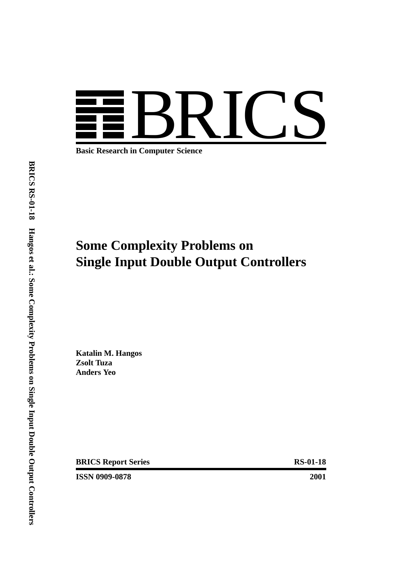

**Basic Research in Computer Science**

# **Some Complexity Problems on Single Input Double Output Controllers**

**Katalin M. Hangos Zsolt Tuza Anders Yeo**

**BRICS Report Series** RS-01-18

**ISSN 0909-0878 2001**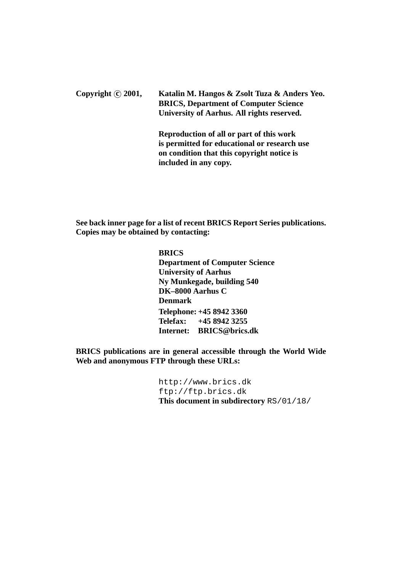Copyright (c) 2001, Katalin M. Hangos & Zsolt Tuza & Anders Yeo. **BRICS, Department of Computer Science University of Aarhus. All rights reserved.**

> **Reproduction of all or part of this work is permitted for educational or research use on condition that this copyright notice is included in any copy.**

**See back inner page for a list of recent BRICS Report Series publications. Copies may be obtained by contacting:**

> **BRICS Department of Computer Science University of Aarhus Ny Munkegade, building 540 DK–8000 Aarhus C Denmark Telephone: +45 8942 3360 Telefax: +45 8942 3255 Internet: BRICS@brics.dk**

**BRICS publications are in general accessible through the World Wide Web and anonymous FTP through these URLs:**

> http://www.brics.dk ftp://ftp.brics.dk **This document in subdirectory** RS/01/18/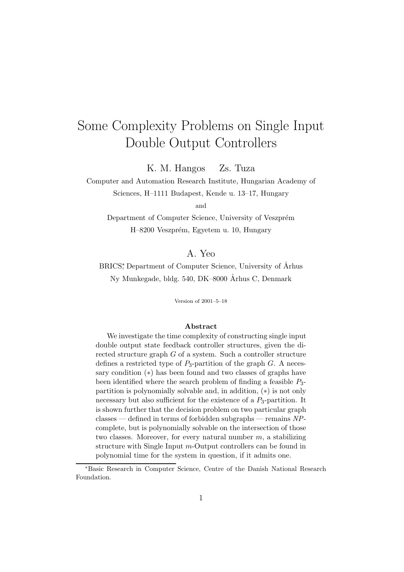# $S^{\text{S}}$  Problems on Singlet Input  $S^{\text{S}}$  $\mathbb{R}$  double  $\mathbb{R}$  output  $\mathbb{R}$  and  $\mathbb{R}$  are controllers.

K. M. Hangos Zs. Tuza

Computer and Automation Research Institute, Hungarian Academy of

Sciences, H–1111 Budapest, Kende u. 13–17, Hungary

and

Department of Computer Science, University of Veszprém H–8200 Veszprém, Egyetem u. 10, Hungary

#### A. Yeo

BRICS<sup>\*</sup>, Department of Computer Science, University of Århus Ny Munkegade, bldg. 540, DK–8000 Århus C, Denmark

Version of 2001–5–18

#### **Abstract**

We investigate the time complexity of constructing single input double output state feedback controller structures, given the directed structure graph G of a system. Such a controller structure defines a restricted type of  $P_3$ -partition of the graph  $G$ . A necessary condition  $(*)$  has been found and two classes of graphs have been identified where the search problem of finding a feasible  $P_3$ partition is polynomially solvable and, in addition, (∗) is not only necessary but also sufficient for the existence of a  $P_3$ -partition. It is shown further that the decision problem on two particular graph classes — defined in terms of forbidden subgraphs — remains NPcomplete, but is polynomially solvable on the intersection of those two classes. Moreover, for every natural number  $m$ , a stabilizing structure with Single Input m-Output controllers can be found in polynomial time for the system in question, if it admits one.

<sup>∗</sup>Basic Research in Computer Science, Centre of the Danish National Research Foundation.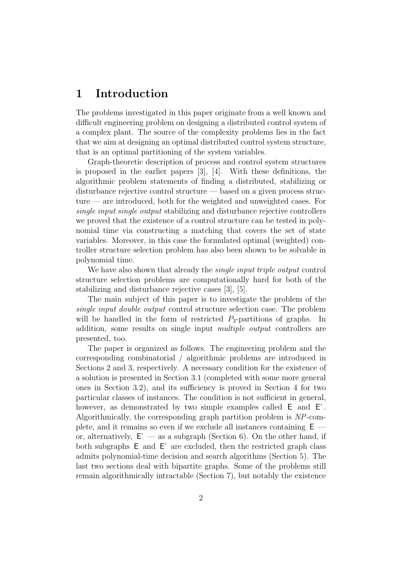## **1 Introduction**

The problems investigated in this paper originate from a well known and difficult engineering problem on designing a distributed control system of a complex plant. The source of the complexity problems lies in the fact that we aim at designing an optimal distributed control system structure, that is an optimal partitioning of the system variables.

Graph-theoretic description of process and control system structures is proposed in the earlier papers [3], [4]. With these definitions, the algorithmic problem statements of finding a distributed, stabilizing or disturbance rejective control structure — based on a given process structure — are introduced, both for the weighted and unweighted cases. For single input single output stabilizing and disturbance rejective controllers we proved that the existence of a control structure can be tested in polynomial time via constructing a matching that covers the set of state variables. Moreover, in this case the formulated optimal (weighted) controller structure selection problem has also been shown to be solvable in polynomial time.

We have also shown that already the *single input triple output* control structure selection problems are computationally hard for both of the stabilizing and disturbance rejective cases [3], [5].

The main subject of this paper is to investigate the problem of the single input double output control structure selection case. The problem will be handled in the form of restricted  $P_3$ -partitions of graphs. In addition, some results on single input multiple output controllers are presented, too.

The paper is organized as follows. The engineering problem and the corresponding combinatorial / algorithmic problems are introduced in Sections 2 and 3, respectively. A necessary condition for the existence of a solution is presented in Section 3.1 (completed with some more general ones in Section 3.2), and its sufficiency is proved in Section 4 for two particular classes of instances. The condition is not sufficient in general, however, as demonstrated by two simple examples called  $E$  and  $E'$ . Algorithmically, the corresponding graph partition problem is NP-complete, and it remains so even if we exclude all instances containing  $E =$ or, alternatively,  $E'$  — as a subgraph (Section 6). On the other hand, if both subgraphs E and E' are excluded, then the restricted graph class admits polynomial-time decision and search algorithms (Section 5). The last two sections deal with bipartite graphs. Some of the problems still remain algorithmically intractable (Section 7), but notably the existence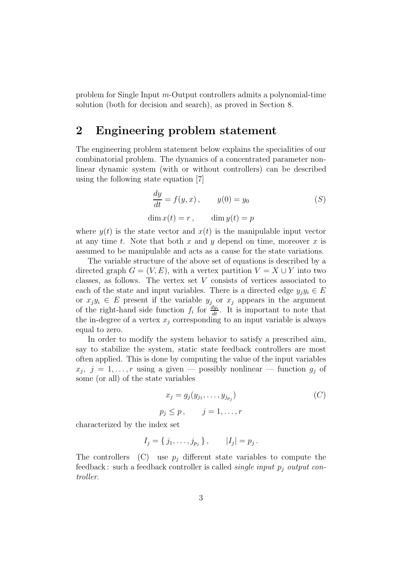problem for Single Input m-Output controllers admits a polynomial-time solution (both for decision and search), as proved in Section 8.

# **2 Engineering problem statement**

The engineering problem statement below explains the specialities of our combinatorial problem. The dynamics of a concentrated parameter nonlinear dynamic system (with or without controllers) can be described using the following state equation [7]

$$
\frac{dy}{dt} = f(y, x), \qquad y(0) = y_0
$$
  
\n
$$
\dim x(t) = r, \qquad \dim y(t) = p
$$
\n(5)

where  $y(t)$  is the state vector and  $x(t)$  is the manipulable input vector at any time t. Note that both x and y depend on time, moreover x is assumed to be manipulable and acts as a cause for the state variations.

The variable structure of the above set of equations is described by a directed graph  $G = (V, E)$ , with a vertex partition  $V = X \cup Y$  into two classes, as follows. The vertex set V consists of vertices associated to each of the state and input variables. There is a directed edge  $y_i y_i \in E$ or  $x_jy_i \in E$  present if the variable  $y_j$  or  $x_j$  appears in the argument of the right-hand side function  $f_i$  for  $\frac{dy_i}{dt}$ . It is important to note that the in-degree of a vertex  $x_j$  corresponding to an input variable is always equal to zero.

In order to modify the system behavior to satisfy a prescribed aim, say to stabilize the system, static state feedback controllers are most often applied. This is done by computing the value of the input variables  $x_j, j = 1,...,r$  using a given – possibly nonlinear – function  $g_j$  of some (or all) of the state variables

$$
x_j = g_j(y_{j_1}, \dots, y_{j_{p_j}})
$$
  
\n
$$
p_j \le p, \qquad j = 1, \dots, r
$$
 (C)

characterized by the index set

$$
I_j = \{j_1, \ldots, j_{p_j}\}, \qquad |I_j| = p_j.
$$

The controllers (C) use  $p_i$  different state variables to compute the feedback: such a feedback controller is called *single input p<sub>j</sub>* output controller.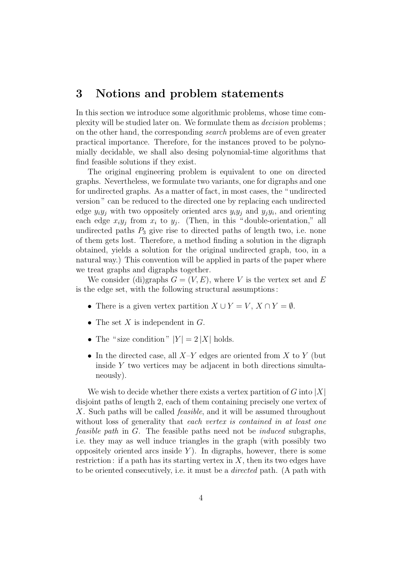### **3 Notions and problem statements**

In this section we introduce some algorithmic problems, whose time complexity will be studied later on. We formulate them as decision problems ; on the other hand, the corresponding search problems are of even greater practical importance. Therefore, for the instances proved to be polynomially decidable, we shall also desing polynomial-time algorithms that find feasible solutions if they exist.

The original engineering problem is equivalent to one on directed graphs. Nevertheless, we formulate two variants, one for digraphs and one for undirected graphs. As a matter of fact, in most cases, the " undirected version " can be reduced to the directed one by replacing each undirected edge  $y_i y_j$  with two oppositely oriented arcs  $y_i y_j$  and  $y_j y_i$ , and orienting each edge  $x_iy_j$  from  $x_i$  to  $y_j$ . (Then, in this "double-orientation," all undirected paths  $P_3$  give rise to directed paths of length two, i.e. none of them gets lost. Therefore, a method finding a solution in the digraph obtained, yields a solution for the original undirected graph, too, in a natural way.) This convention will be applied in parts of the paper where we treat graphs and digraphs together.

We consider (di)graphs  $G = (V, E)$ , where V is the vertex set and E is the edge set, with the following structural assumptions :

- There is a given vertex partition  $X \cup Y = V$ ,  $X \cap Y = \emptyset$ .
- The set  $X$  is independent in  $G$ .
- The "size condition"  $|Y| = 2 |X|$  holds.
- In the directed case, all  $X-Y$  edges are oriented from X to Y (but inside Y two vertices may be adjacent in both directions simultaneously).

We wish to decide whether there exists a vertex partition of G into  $|X|$ disjoint paths of length 2, each of them containing precisely one vertex of X. Such paths will be called *feasible*, and it will be assumed throughout without loss of generality that each vertex is contained in at least one feasible path in G. The feasible paths need not be induced subgraphs, i.e. they may as well induce triangles in the graph (with possibly two oppositely oriented arcs inside  $Y$ ). In digraphs, however, there is some restriction: if a path has its starting vertex in  $X$ , then its two edges have to be oriented consecutively, i.e. it must be a directed path. (A path with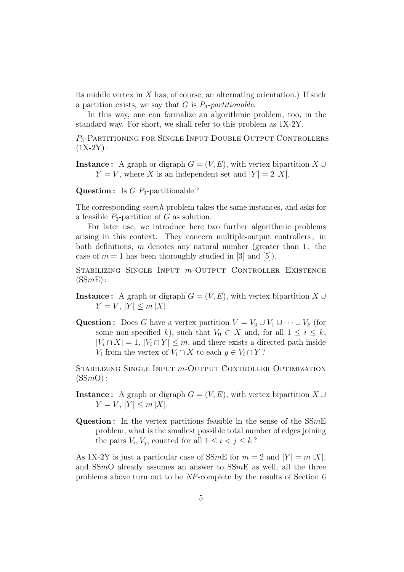its middle vertex in  $X$  has, of course, an alternating orientation.) If such a partition exists, we say that  $G$  is  $P_3$ -partitionable.

In this way, one can formalize an algorithmic problem, too, in the standard way. For short, we shall refer to this problem as 1X-2Y.

P<sub>3</sub>-PARTITIONING FOR SINGLE INPUT DOUBLE OUTPUT CONTROLLERS  $(1X-2Y)$ :

**Instance :** A graph or digraph  $G = (V, E)$ , with vertex bipartition  $X \cup$  $Y = V$ , where X is an independent set and  $|Y| = 2 |X|$ .

**Question :** Is G P<sub>3</sub>-partitionable ?

The corresponding search problem takes the same instances, and asks for a feasible  $P_3$ -partition of G as solution.

For later use, we introduce here two further algorithmic problems arising in this context. They concern multiple-output controllers ; in both definitions, m denotes any natural number (greater than 1; the case of  $m = 1$  has been thoroughly studied in [3] and [5]).

STABILIZING SINGLE INPUT *m*-OUTPUT CONTROLLER EXISTENCE  $(SSmE)$ :

- **Instance :** A graph or digraph  $G = (V, E)$ , with vertex bipartition  $X \cup$  $Y = V, |Y| \le m |X|.$
- **Question :** Does G have a vertex partition  $V = V_0 \cup V_1 \cup \cdots \cup V_k$  (for some non-specified k), such that  $V_0 \subset X$  and, for all  $1 \leq i \leq k$ ,  $|V_i \cap X| = 1, |V_i \cap Y| \leq m$ , and there exists a directed path inside  $V_i$  from the vertex of  $V_i \cap X$  to each  $y \in V_i \cap Y$ ?

STABILIZING SINGLE INPUT  $m$ -OUTPUT CONTROLLER OPTIMIZATION  $(SSmO)$ :

**Instance :** A graph or digraph  $G = (V, E)$ , with vertex bipartition  $X \cup$  $Y = V, |Y| \le m |X|.$ 

**Question :** In the vertex partitions feasible in the sense of the SSmE problem, what is the smallest possible total number of edges joining the pairs  $V_i, V_j$ , counted for all  $1 \leq i < j \leq k$ ?

As 1X-2Y is just a particular case of SSmE for  $m = 2$  and  $|Y| = m |X|$ , and  $SSmO$  already assumes an answer to  $SSmE$  as well, all the three problems above turn out to be NP-complete by the results of Section 6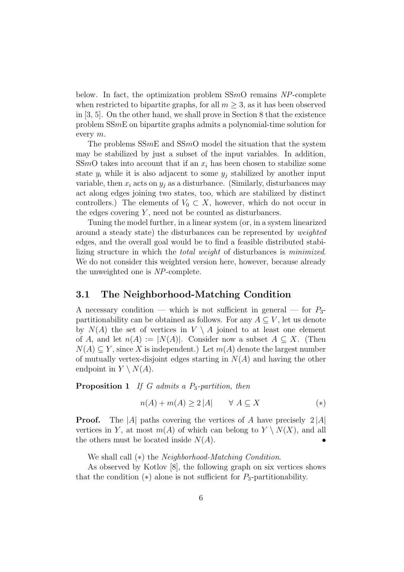below. In fact, the optimization problem  $SSmO$  remains  $NP$ -complete when restricted to bipartite graphs, for all  $m \geq 3$ , as it has been observed in [3, 5]. On the other hand, we shall prove in Section 8 that the existence problem SSmE on bipartite graphs admits a polynomial-time solution for every m.

The problems  $SSmE$  and  $SSmO$  model the situation that the system may be stabilized by just a subset of the input variables. In addition, SSmO takes into account that if an  $x_i$  has been chosen to stabilize some state  $y_i$  while it is also adjacent to some  $y_j$  stabilized by another input variable, then  $x_i$  acts on  $y_i$  as a disturbance. (Similarly, disturbances may act along edges joining two states, too, which are stabilized by distinct controllers.) The elements of  $V_0 \subset X$ , however, which do not occur in the edges covering  $Y$ , need not be counted as disturbances.

Tuning the model further, in a linear system (or, in a system linearized around a steady state) the disturbances can be represented by weighted edges, and the overall goal would be to find a feasible distributed stabilizing structure in which the total weight of disturbances is minimized. We do not consider this weighted version here, however, because already the unweighted one is NP-complete.

#### **3.1 The Neighborhood-Matching Condition**

A necessary condition — which is not sufficient in general — for  $P_3$ partitionability can be obtained as follows. For any  $A \subseteq V$ , let us denote by  $N(A)$  the set of vertices in  $V \setminus A$  joined to at least one element of A, and let  $n(A) := |N(A)|$ . Consider now a subset  $A \subseteq X$ . (Then  $N(A) \subseteq Y$ , since X is independent.) Let  $m(A)$  denote the largest number of mutually vertex-disjoint edges starting in  $N(A)$  and having the other endpoint in  $Y \setminus N(A)$ .

**Proposition 1** If G admits a P<sub>3</sub>-partition, then

$$
n(A) + m(A) \ge 2|A| \qquad \forall A \subseteq X \tag{*}
$$

**Proof.** The |A| paths covering the vertices of A have precisely  $2|A|$ vertices in Y, at most  $m(A)$  of which can belong to  $Y \setminus N(X)$ , and all the others must be located inside  $N(A)$ .

We shall call (∗) the Neighborhood-Matching Condition.

As observed by Kotlov [8], the following graph on six vertices shows that the condition  $(*)$  alone is not sufficient for  $P_3$ -partitionability.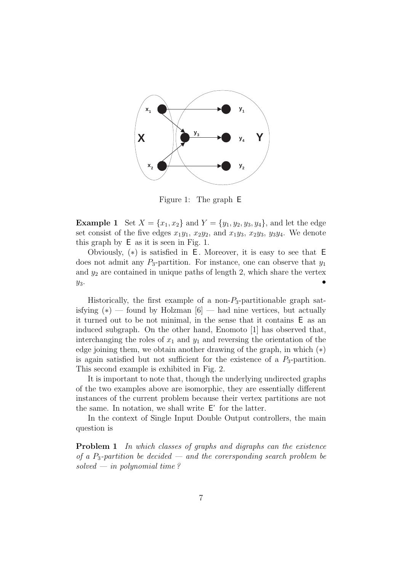

Figure 1: The graph E

**Example 1** Set  $X = \{x_1, x_2\}$  and  $Y = \{y_1, y_2, y_3, y_4\}$ , and let the edge set consist of the five edges  $x_1y_1$ ,  $x_2y_2$ , and  $x_1y_3$ ,  $x_2y_3$ ,  $y_3y_4$ . We denote this graph by E as it is seen in Fig. 1.

Obviously,  $(*)$  is satisfied in E. Moreover, it is easy to see that E does not admit any  $P_3$ -partition. For instance, one can observe that  $y_1$ and  $y_2$  are contained in unique paths of length 2, which share the vertex  $y_3$ .

Historically, the first example of a non- $P_3$ -partitionable graph satisfying  $(*)$  — found by Holzman [6] — had nine vertices, but actually it turned out to be not minimal, in the sense that it contains E as an induced subgraph. On the other hand, Enomoto [1] has observed that, interchanging the roles of  $x_1$  and  $y_1$  and reversing the orientation of the edge joining them, we obtain another drawing of the graph, in which (∗) is again satisfied but not sufficient for the existence of a  $P_3$ -partition. This second example is exhibited in Fig. 2.

It is important to note that, though the underlying undirected graphs of the two examples above are isomorphic, they are essentially different instances of the current problem because their vertex partitions are not the same. In notation, we shall write E' for the latter.

In the context of Single Input Double Output controllers, the main question is

**Problem 1** In which classes of graphs and digraphs can the existence of a  $P_3$ -partition be decided — and the corersponding search problem be solved — in polynomial time?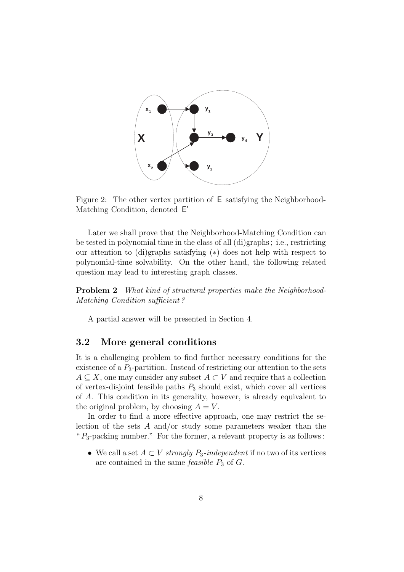

Figure 2: The other vertex partition of E satisfying the Neighborhood-Matching Condition, denoted E'

Later we shall prove that the Neighborhood-Matching Condition can be tested in polynomial time in the class of all (di)graphs ; i.e., restricting our attention to (di)graphs satisfying (∗) does not help with respect to polynomial-time solvability. On the other hand, the following related question may lead to interesting graph classes.

**Problem 2** What kind of structural properties make the Neighborhood-Matching Condition sufficient ?

A partial answer will be presented in Section 4.

#### **3.2 More general conditions**

It is a challenging problem to find further necessary conditions for the existence of a  $P_3$ -partition. Instead of restricting our attention to the sets  $A \subseteq X$ , one may consider any subset  $A \subset V$  and require that a collection of vertex-disjoint feasible paths  $P_3$  should exist, which cover all vertices of A. This condition in its generality, however, is already equivalent to the original problem, by choosing  $A = V$ .

In order to find a more effective approach, one may restrict the selection of the sets A and/or study some parameters weaker than the " $P_3$ -packing number." For the former, a relevant property is as follows:

• We call a set  $A \subset V$  strongly  $P_3$ -independent if no two of its vertices are contained in the same *feasible*  $P_3$  of  $G$ .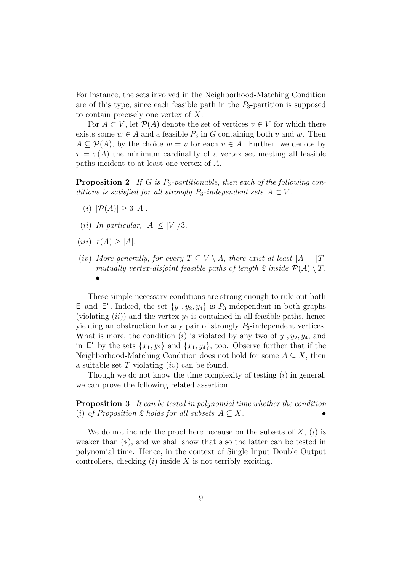For instance, the sets involved in the Neighborhood-Matching Condition are of this type, since each feasible path in the  $P_3$ -partition is supposed to contain precisely one vertex of X.

For  $A \subset V$ , let  $\mathcal{P}(A)$  denote the set of vertices  $v \in V$  for which there exists some  $w \in A$  and a feasible  $P_3$  in G containing both v and w. Then  $A \subseteq \mathcal{P}(A)$ , by the choice  $w = v$  for each  $v \in A$ . Further, we denote by  $\tau = \tau(A)$  the minimum cardinality of a vertex set meeting all feasible paths incident to at least one vertex of A.

**Proposition 2** If G is P<sub>3</sub>-partitionable, then each of the following conditions is satisfied for all strongly  $P_3$ -independent sets  $A \subset V$ .

- (i)  $|\mathcal{P}(A)| \geq 3 |A|$ .
- (ii) In particular,  $|A| \leq |V|/3$ .
- (iii)  $\tau(A) > |A|$ .
- (iv) More generally, for every  $T \subseteq V \setminus A$ , there exist at least  $|A|-|T|$ mutually vertex-disjoint feasible paths of length 2 inside  $\mathcal{P}(A) \setminus T$ . •

These simple necessary conditions are strong enough to rule out both **E** and **E**'. Indeed, the set  $\{y_1, y_2, y_4\}$  is  $P_3$ -independent in both graphs (violating  $(ii)$ ) and the vertex  $y_3$  is contained in all feasible paths, hence yielding an obstruction for any pair of strongly  $P_3$ -independent vertices. What is more, the condition (i) is violated by any two of  $y_1, y_2, y_4$ , and in E' by the sets  $\{x_1, y_2\}$  and  $\{x_1, y_4\}$ , too. Observe further that if the Neighborhood-Matching Condition does not hold for some  $A \subseteq X$ , then a suitable set  $T$  violating  $(iv)$  can be found.

Though we do not know the time complexity of testing  $(i)$  in general, we can prove the following related assertion.

**Proposition 3** It can be tested in polynomial time whether the condition (i) of Proposition 2 holds for all subsets  $A \subseteq X$ .

We do not include the proof here because on the subsets of  $X$ ,  $(i)$  is weaker than (∗), and we shall show that also the latter can be tested in polynomial time. Hence, in the context of Single Input Double Output controllers, checking  $(i)$  inside X is not terribly exciting.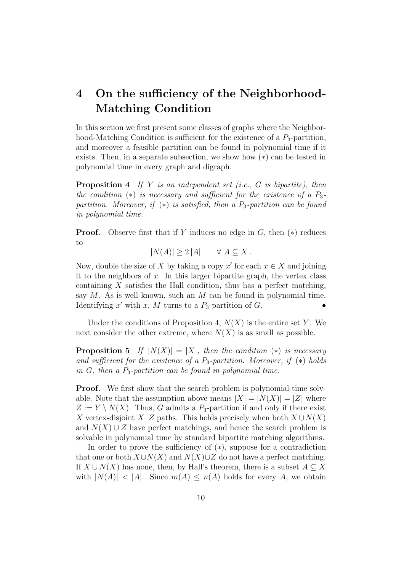# **4 On the sufficiency of the Neighborhood-Matching Condition**

In this section we first present some classes of graphs where the Neighborhood-Matching Condition is sufficient for the existence of a  $P_3$ -partition, and moreover a feasible partition can be found in polynomial time if it exists. Then, in a separate subsection, we show how (∗) can be tested in polynomial time in every graph and digraph.

**Proposition 4** If Y is an independent set (i.e., G is bipartite), then the condition  $(*)$  is necessary and sufficient for the existence of a  $P_3$ partition. Moreover, if  $(*)$  is satisfied, then a  $P_3$ -partition can be found in polynomial time.

**Proof.** Observe first that if Y induces no edge in  $G$ , then  $(*)$  reduces to

$$
|N(A)| \ge 2|A| \quad \forall A \subseteq X.
$$

Now, double the size of X by taking a copy x' for each  $x \in X$  and joining it to the neighbors of  $x$ . In this larger bipartite graph, the vertex class containing  $X$  satisfies the Hall condition, thus has a perfect matching, say  $M$ . As is well known, such an  $M$  can be found in polynomial time. Identifying x' with x, M turns to a  $P_3$ -partition of G. ••

Under the conditions of Proposition 4,  $N(X)$  is the entire set Y. We next consider the other extreme, where  $N(X)$  is as small as possible.

**Proposition 5** If  $|N(X)| = |X|$ , then the condition (\*) is necessary and sufficient for the existence of a  $P_3$ -partition. Moreover, if  $(*)$  holds in  $G$ , then a  $P_3$ -partition can be found in polynomial time.

**Proof.** We first show that the search problem is polynomial-time solvable. Note that the assumption above means  $|X| = |N(X)| = |Z|$  where  $Z := Y \setminus N(X)$ . Thus, G admits a P<sub>3</sub>-partition if and only if there exist X vertex-disjoint X–Z paths. This holds precisely when both  $X \cup N(X)$ and  $N(X) \cup Z$  have perfect matchings, and hence the search problem is solvable in polynomial time by standard bipartite matching algorithms.

In order to prove the sufficiency of (∗), suppose for a contradiction that one or both  $X\cup N(X)$  and  $N(X)\cup Z$  do not have a perfect matching. If  $X \cup N(X)$  has none, then, by Hall's theorem, there is a subset  $A \subseteq X$ with  $|N(A)| < |A|$ . Since  $m(A) \leq n(A)$  holds for every A, we obtain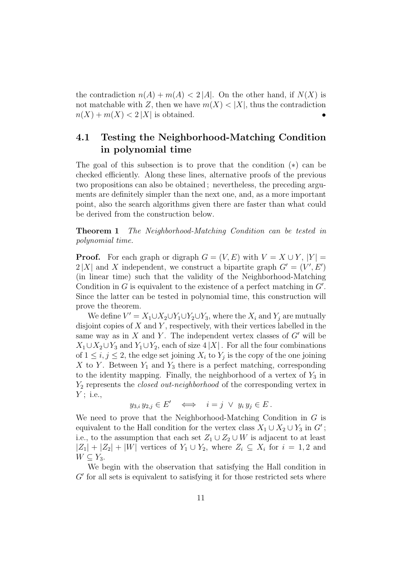the contradiction  $n(A) + m(A) < 2 |A|$ . On the other hand, if  $N(X)$  is not matchable with Z, then we have  $m(X) < |X|$ , thus the contradiction  $n(X) + m(X) < 2 |X|$  is obtained.

#### **4.1 Testing the Neighborhood-Matching Condition in polynomial time**

The goal of this subsection is to prove that the condition (∗) can be checked efficiently. Along these lines, alternative proofs of the previous two propositions can also be obtained ; nevertheless, the preceding arguments are definitely simpler than the next one, and, as a more important point, also the search algorithms given there are faster than what could be derived from the construction below.

**Theorem 1** The Neighborhood-Matching Condition can be tested in polynomial time.

**Proof.** For each graph or digraph  $G = (V, E)$  with  $V = X \cup Y$ ,  $|Y| =$  $2|X|$  and X independent, we construct a bipartite graph  $G' = (V', E')$ (in linear time) such that the validity of the Neighborhood-Matching Condition in  $G$  is equivalent to the existence of a perfect matching in  $G'$ . Since the latter can be tested in polynomial time, this construction will prove the theorem.

We define  $V' = X_1 \cup X_2 \cup Y_1 \cup Y_2 \cup Y_3$ , where the  $X_i$  and  $Y_j$  are mutually disjoint copies of  $X$  and  $Y$ , respectively, with their vertices labelled in the same way as in  $X$  and  $Y$ . The independent vertex classes of  $G'$  will be  $X_1 \cup X_2 \cup Y_3$  and  $Y_1 \cup Y_2$ , each of size 4 |X|. For all the four combinations of  $1 \leq i, j \leq 2$ , the edge set joining  $X_i$  to  $Y_j$  is the copy of the one joining X to Y. Between  $Y_1$  and  $Y_3$  there is a perfect matching, corresponding to the identity mapping. Finally, the neighborhood of a vertex of  $Y_3$  in  $Y_2$  represents the *closed out-neighborhood* of the corresponding vertex in  $Y$ ; i.e.,

$$
y_{3,i} y_{2,j} \in E' \iff i = j \lor y_i y_j \in E.
$$

We need to prove that the Neighborhood-Matching Condition in G is equivalent to the Hall condition for the vertex class  $X_1 \cup X_2 \cup Y_3$  in  $G'$ ; i.e., to the assumption that each set  $Z_1 \cup Z_2 \cup W$  is adjacent to at least  $|Z_1| + |Z_2| + |W|$  vertices of  $Y_1 \cup Y_2$ , where  $Z_i \subseteq X_i$  for  $i = 1, 2$  and  $W \subseteq Y_3$ .

We begin with the observation that satisfying the Hall condition in  $G'$  for all sets is equivalent to satisfying it for those restricted sets where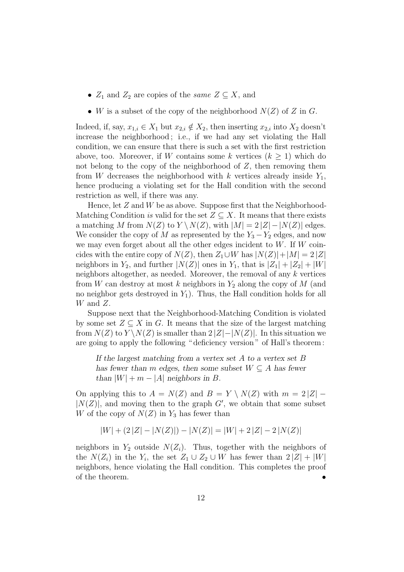- $Z_1$  and  $Z_2$  are copies of the *same*  $Z \subseteq X$ , and
- W is a subset of the copy of the neighborhood  $N(Z)$  of Z in G.

Indeed, if, say,  $x_{1,i} \in X_1$  but  $x_{2,i} \notin X_2$ , then inserting  $x_{2,i}$  into  $X_2$  doesn't increase the neighborhood ; i.e., if we had any set violating the Hall condition, we can ensure that there is such a set with the first restriction above, too. Moreover, if W contains some k vertices  $(k \geq 1)$  which do not belong to the copy of the neighborhood of  $Z$ , then removing them from W decreases the neighborhood with k vertices already inside  $Y_1$ , hence producing a violating set for the Hall condition with the second restriction as well, if there was any.

Hence, let  $Z$  and  $W$  be as above. Suppose first that the Neighborhood-Matching Condition is valid for the set  $Z \subseteq X$ . It means that there exists a matching M from  $N(Z)$  to  $Y \setminus N(Z)$ , with  $|M| = 2 |Z| - |N(Z)|$  edges. We consider the copy of M as represented by the  $Y_3 - Y_2$  edges, and now we may even forget about all the other edges incident to  $W$ . If  $W$  coincides with the entire copy of  $N(Z)$ , then  $Z_1 \cup W$  has  $|N(Z)|+|M| = 2|Z|$ neighbors in  $Y_2$ , and further  $|N(Z)|$  ones in  $Y_1$ , that is  $|Z_1| + |Z_2| + |W|$ neighbors altogether, as needed. Moreover, the removal of any  $k$  vertices from W can destroy at most k neighbors in  $Y_2$  along the copy of M (and no neighbor gets destroyed in  $Y_1$ ). Thus, the Hall condition holds for all  $W$  and  $Z$ .

Suppose next that the Neighborhood-Matching Condition is violated by some set  $Z \subseteq X$  in G. It means that the size of the largest matching from  $N(Z)$  to  $Y\setminus N(Z)$  is smaller than  $2|Z|-|N(Z)|$ . In this situation we are going to apply the following " deficiency version " of Hall's theorem :

*If the largest matching from a vertex set* A *to a vertex set* B *has fewer than* m *edges, then some subset*  $W \subseteq A$  *has fewer than*  $|W| + m - |A|$  *neighbors in B*.

On applying this to  $A = N(Z)$  and  $B = Y \setminus N(Z)$  with  $m = 2|Z|$  –  $|N(Z)|$ , and moving then to the graph G', we obtain that some subset W of the copy of  $N(Z)$  in  $Y_3$  has fewer than

$$
|W| + (2|Z| - |N(Z)|) - |N(Z)| = |W| + 2|Z| - 2|N(Z)|
$$

neighbors in  $Y_2$  outside  $N(Z_i)$ . Thus, together with the neighbors of the  $N(Z_i)$  in the  $Y_i$ , the set  $Z_1 \cup Z_2 \cup W$  has fewer than  $2|Z| + |W|$ neighbors, hence violating the Hall condition. This completes the proof of the theorem.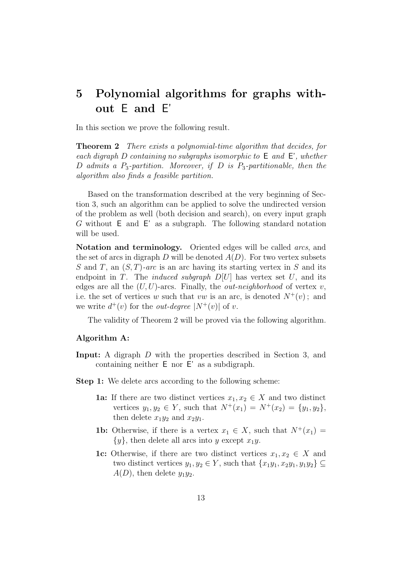# **5 Polynomial algorithms for graphs without** E **and** E'

In this section we prove the following result.

**Theorem 2** There exists a polynomial-time algorithm that decides, for each digraph D containing no subgraphs isomorphic to  $E$  and  $E'$ , whether D admits a  $P_3$ -partition. Moreover, if D is  $P_3$ -partitionable, then the algorithm also finds a feasible partition.

Based on the transformation described at the very beginning of Section 3, such an algorithm can be applied to solve the undirected version of the problem as well (both decision and search), on every input graph G without E and E' as a subgraph. The following standard notation will be used.

**Notation and terminology.** Oriented edges will be called *arcs*, and the set of arcs in digraph D will be denoted  $A(D)$ . For two vertex subsets S and T, an  $(S, T)$ -arc is an arc having its starting vertex in S and its endpoint in T. The *induced subgraph*  $D[U]$  has vertex set U, and its edges are all the  $(U, U)$ -arcs. Finally, the *out-neighborhood* of vertex v, i.e. the set of vertices w such that vw is an arc, is denoted  $N^+(v)$ ; and we write  $d^+(v)$  for the *out-degree*  $|N^+(v)|$  of v.

The validity of Theorem 2 will be proved via the following algorithm.

#### **Algorithm A:**

- **Input:** A digraph D with the properties described in Section 3, and containing neither E nor E' as a subdigraph.
- **Step 1:** We delete arcs according to the following scheme:
	- **1a:** If there are two distinct vertices  $x_1, x_2 \in X$  and two distinct vertices  $y_1, y_2 \in Y$ , such that  $N^+(x_1) = N^+(x_2) = \{y_1, y_2\}$ , then delete  $x_1y_2$  and  $x_2y_1$ .
	- **1b:** Otherwise, if there is a vertex  $x_1 \in X$ , such that  $N^+(x_1) =$  ${y}$ , then delete all arcs into y except  $x_1y$ .
	- **1c:** Otherwise, if there are two distinct vertices  $x_1, x_2 \in X$  and two distinct vertices  $y_1, y_2 \in Y$ , such that  $\{x_1y_1, x_2y_1, y_1y_2\} \subseteq$  $A(D)$ , then delete  $y_1y_2$ .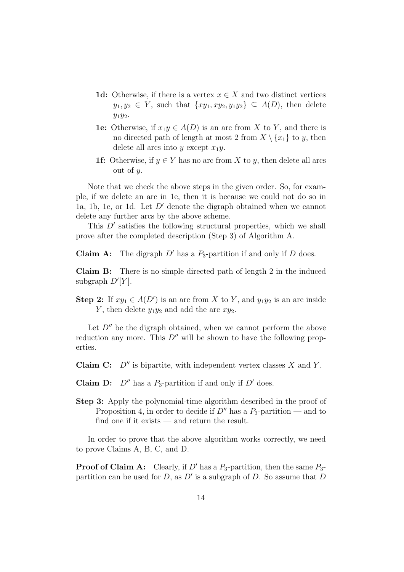- **1d:** Otherwise, if there is a vertex  $x \in X$  and two distinct vertices  $y_1, y_2 \in Y$ , such that  $\{xy_1, xy_2, y_1y_2\} \subseteq A(D)$ , then delete  $y_1y_2.$
- **1e:** Otherwise, if  $x_1y \in A(D)$  is an arc from X to Y, and there is no directed path of length at most 2 from  $X \setminus \{x_1\}$  to y, then delete all arcs into y except  $x_1y$ .
- **1f:** Otherwise, if  $y \in Y$  has no arc from X to y, then delete all arcs out of  $y$ .

Note that we check the above steps in the given order. So, for example, if we delete an arc in 1e, then it is because we could not do so in 1a, 1b, 1c, or 1d. Let  $D'$  denote the digraph obtained when we cannot delete any further arcs by the above scheme.

This  $D'$  satisfies the following structural properties, which we shall prove after the completed description (Step 3) of Algorithm A.

**Claim A:** The digraph  $D'$  has a  $P_3$ -partition if and only if  $D$  does.

**Claim B:** There is no simple directed path of length 2 in the induced subgraph  $D'[Y]$ .

**Step 2:** If  $xy_1 \in A(D')$  is an arc from X to Y, and  $y_1y_2$  is an arc inside Y, then delete  $y_1y_2$  and add the arc  $xy_2$ .

Let  $D''$  be the digraph obtained, when we cannot perform the above reduction any more. This  $D''$  will be shown to have the following properties.

**Claim C:**  $D''$  is bipartite, with independent vertex classes  $X$  and  $Y$ .

**Claim D:**  $D''$  has a  $P_3$ -partition if and only if  $D'$  does.

**Step 3:** Apply the polynomial-time algorithm described in the proof of Proposition 4, in order to decide if  $D''$  has a  $P_3$ -partition — and to find one if it exists — and return the result.

In order to prove that the above algorithm works correctly, we need to prove Claims A, B, C, and D.

**Proof of Claim A:** Clearly, if  $D'$  has a  $P_3$ -partition, then the same  $P_3$ partition can be used for  $D$ , as  $D'$  is a subgraph of  $D$ . So assume that  $D$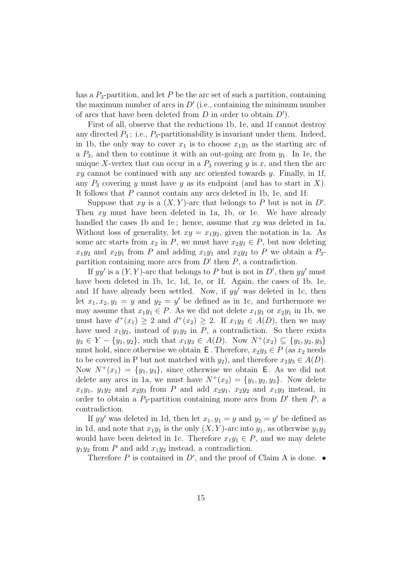has a  $P_3$ -partition, and let P be the arc set of such a partition, containing the maximum number of arcs in  $D'$  (i.e., containing the minimum number of arcs that have been deleted from  $D$  in order to obtain  $D'$ .

First of all, observe that the reductions 1b, 1e, and 1f cannot destroy any directed  $P_3$ ; i.e.,  $P_3$ -partitionability is invariant under them. Indeed, in 1b, the only way to cover  $x_1$  is to choose  $x_1y_1$  as the starting arc of a  $P_3$ , and then to continue it with an out-going arc from  $y_1$ . In 1e, the unique X-vertex that can occur in a  $P_3$  covering y is x, and then the arc  $xy$  cannot be continued with any arc oriented towards  $y$ . Finally, in 1f, any  $P_3$  covering y must have y as its endpoint (and has to start in X). It follows that P cannot contain any arcs deleted in 1b, 1e, and 1f.

Suppose that xy is a  $(X, Y)$ -arc that belongs to P but is not in D'. Then  $xy$  must have been deleted in 1a, 1b, or 1e. We have already handled the cases 1b and 1e; hence, assume that  $xy$  was deleted in 1a. Without loss of generality, let  $xy = x_1y_2$ , given the notation in 1a. As some arc starts from  $x_2$  in P, we must have  $x_2y_1 \in P$ , but now deleting  $x_1y_2$  and  $x_2y_1$  from P and adding  $x_1y_1$  and  $x_2y_2$  to P we obtain a  $P_3$ partition containing more arcs from  $D'$  then  $P$ , a contradiction.

If yy' is a  $(Y, Y)$ -arc that belongs to P but is not in D', then yy' must have been deleted in 1b, 1c, 1d, 1e, or 1f. Again, the cases of 1b, 1e, and 1f have already been settled. Now, if  $yy'$  was deleted in 1c, then let  $x_1, x_2, y_1 = y$  and  $y_2 = y'$  be defined as in 1c, and furthermore we may assume that  $x_1y_1 \in P$ . As we did not delete  $x_1y_1$  or  $x_2y_1$  in 1b, we must have  $d^+(x_1) \geq 2$  and  $d^+(x_2) \geq 2$ . If  $x_1y_2 \in A(D)$ , then we may have used  $x_1y_2$ , instead of  $y_1y_2$  in P, a contradiction. So there exists  $y_3 \in Y - \{y_1, y_2\}$ , such that  $x_1y_3 \in A(D)$ . Now  $N^+(x_2) \subseteq \{y_1, y_2, y_3\}$ must hold, since otherwise we obtain **E**. Therefore,  $x_2y_3 \in P$  (as  $x_2$  needs to be covered in P but not matched with  $y_2$ ), and therefore  $x_2y_3 \in A(D)$ . Now  $N^+(x_1) = \{y_1, y_3\}$ , since otherwise we obtain **E**. As we did not delete any arcs in 1a, we must have  $N^+(x_2) = \{y_1, y_2, y_3\}$ . Now delete  $x_1y_1$ ,  $y_1y_2$  and  $x_2y_3$  from P and add  $x_2y_1$ ,  $x_2y_2$  and  $x_1y_3$  instead, in order to obtain a  $P_3$ -partition containing more arcs from  $D'$  then  $P$ , a contradiction.

If yy' was deleted in 1d, then let  $x_1, y_1 = y$  and  $y_2 = y'$  be defined as in 1d, and note that  $x_1y_1$  is the only  $(X, Y)$ -arc into  $y_1$ , as otherwise  $y_1y_2$ would have been deleted in 1c. Therefore  $x_1y_1 \in P$ , and we may delete  $y_1y_2$  from P and add  $x_1y_2$  instead, a contradiction.

Therefore P is contained in  $D'$ , and the proof of Claim A is done.  $\bullet$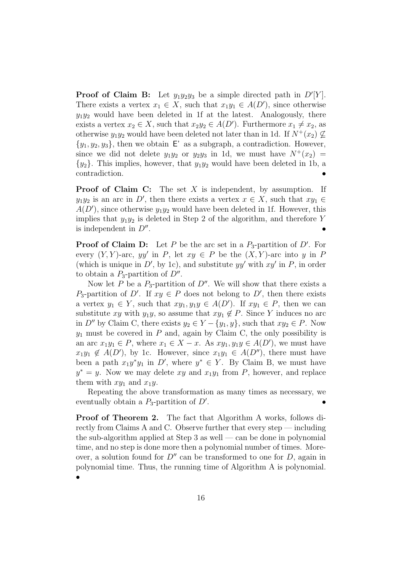**Proof of Claim B:** Let  $y_1y_2y_3$  be a simple directed path in  $D'[Y]$ . There exists a vertex  $x_1 \in X$ , such that  $x_1y_1 \in A(D')$ , since otherwise  $y_1y_2$  would have been deleted in 1f at the latest. Analogously, there exists a vertex  $x_2 \in X$ , such that  $x_2y_2 \in A(D')$ . Furthermore  $x_1 \neq x_2$ , as otherwise  $y_1y_2$  would have been deleted not later than in 1d. If  $N^+(x_2) \not\subseteq$  $\{y_1, y_2, y_3\}$ , then we obtain E' as a subgraph, a contradiction. However, since we did not delete  $y_1y_2$  or  $y_2y_3$  in 1d, we must have  $N^+(x_2)$  =  $\{y_2\}$ . This implies, however, that  $y_1y_2$  would have been deleted in 1b, a contradiction. •

**Proof of Claim C:** The set X is independent, by assumption. If  $y_1y_2$  is an arc in D', then there exists a vertex  $x \in X$ , such that  $xy_1 \in$  $A(D')$ , since otherwise  $y_1y_2$  would have been deleted in 1f. However, this implies that  $y_1y_2$  is deleted in Step 2 of the algorithm, and therefore Y is independent in  $D''$ .

**Proof of Claim D:** Let P be the arc set in a  $P_3$ -partition of D'. For every  $(Y, Y)$ -arc, yy' in P, let  $xy \in P$  be the  $(X, Y)$ -arc into y in P (which is unique in  $D'$ , by 1c), and substitute  $yy'$  with  $xy'$  in P, in order to obtain a  $P_3$ -partition of  $D''$ .

Now let P be a  $P_3$ -partition of D''. We will show that there exists a  $P_3$ -partition of D'. If  $xy \in P$  does not belong to D', then there exists a vertex  $y_1 \in Y$ , such that  $xy_1, y_1y \in A(D')$ . If  $xy_1 \in P$ , then we can substitute xy with y<sub>1</sub>y, so assume that  $xy_1 \notin P$ . Since Y induces no arc in D'' by Claim C, there exists  $y_2 \in Y - \{y_1, y\}$ , such that  $xy_2 \in P$ . Now  $y_1$  must be covered in  $P$  and, again by Claim C, the only possibility is an arc  $x_1y_1 \in P$ , where  $x_1 \in X - x$ . As  $xy_1, y_1y \in A(D')$ , we must have  $x_1y_1 \notin A(D')$ , by 1c. However, since  $x_1y_1 \in A(D'')$ , there must have been a path  $x_1y^*y_1$  in D', where  $y^* \in Y$ . By Claim B, we must have  $y^* = y$ . Now we may delete xy and  $x_1y_1$  from P, however, and replace them with  $xy_1$  and  $x_1y$ .

Repeating the above transformation as many times as necessary, we eventually obtain a  $P_3$ -partition of  $D'$ .  $\mathbf{e}$   $\mathbf{e}$   $\mathbf{e}$   $\mathbf{e}$   $\mathbf{e}$   $\mathbf{e}$   $\mathbf{e}$   $\mathbf{e}$   $\mathbf{e}$   $\mathbf{e}$   $\mathbf{e}$ 

**Proof of Theorem 2.** The fact that Algorithm A works, follows directly from Claims A and C. Observe further that every step — including the sub-algorithm applied at Step 3 as well — can be done in polynomial time, and no step is done more then a polynomial number of times. Moreover, a solution found for  $D''$  can be transformed to one for  $D$ , again in polynomial time. Thus, the running time of Algorithm A is polynomial. •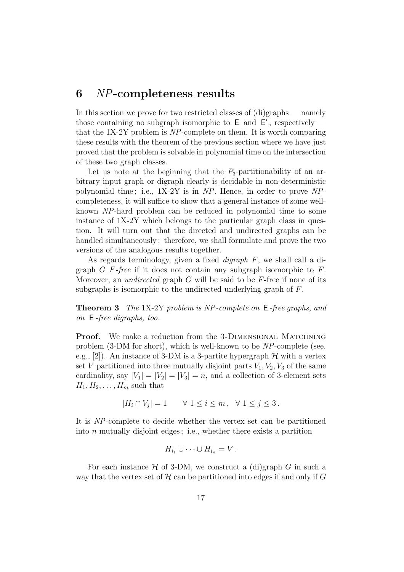#### **6** NP**-completeness results**

In this section we prove for two restricted classes of (di)graphs — namely those containing no subgraph isomorphic to  $E$  and  $E'$ , respectively that the 1X-2Y problem is NP-complete on them. It is worth comparing these results with the theorem of the previous section where we have just proved that the problem is solvable in polynomial time on the intersection of these two graph classes.

Let us note at the beginning that the  $P_3$ -partitionability of an arbitrary input graph or digraph clearly is decidable in non-deterministic polynomial time ; i.e., 1X-2Y is in NP. Hence, in order to prove NPcompleteness, it will suffice to show that a general instance of some wellknown NP-hard problem can be reduced in polynomial time to some instance of 1X-2Y which belongs to the particular graph class in question. It will turn out that the directed and undirected graphs can be handled simultaneously ; therefore, we shall formulate and prove the two versions of the analogous results together.

As regards terminology, given a fixed digraph F, we shall call a digraph  $G$  F-free if it does not contain any subgraph isomorphic to  $F$ . Moreover, an *undirected* graph  $G$  will be said to be  $F$ -free if none of its subgraphs is isomorphic to the undirected underlying graph of F.

**Theorem 3** The 1X-2Y problem is NP-complete on E-free graphs, and on E -free digraphs, too.

**Proof.** We make a reduction from the 3-DIMENSIONAL MATCHNING problem (3-DM for short), which is well-known to be NP-complete (see, e.g., [2]). An instance of 3-DM is a 3-partite hypergraph  $\mathcal H$  with a vertex set V partitioned into three mutually disjoint parts  $V_1, V_2, V_3$  of the same cardinality, say  $|V_1| = |V_2| = |V_3| = n$ , and a collection of 3-element sets  $H_1, H_2, \ldots, H_m$  such that

$$
|H_i \cap V_j| = 1 \qquad \forall \ 1 \le i \le m \,, \quad \forall \ 1 \le j \le 3 \,.
$$

It is NP-complete to decide whether the vertex set can be partitioned into  $n$  mutually disjoint edges; i.e., whether there exists a partition

$$
H_{i_1} \cup \cdots \cup H_{i_n} = V.
$$

For each instance  $H$  of 3-DM, we construct a (di)graph G in such a way that the vertex set of  $H$  can be partitioned into edges if and only if  $G$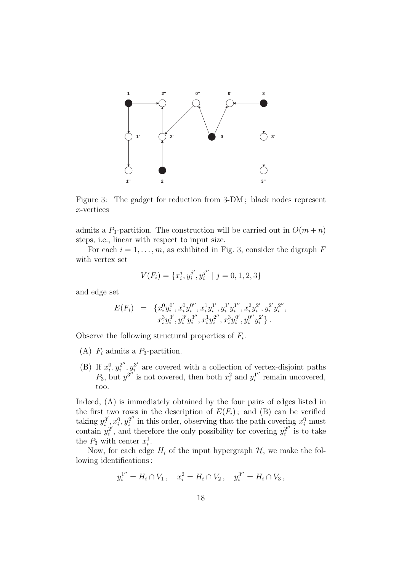

Figure 3: The gadget for reduction from 3-DM ; black nodes represent x-vertices

admits a  $P_3$ -partition. The construction will be carried out in  $O(m+n)$ steps, i.e., linear with respect to input size.

For each  $i = 1, \ldots, m$ , as exhibited in Fig. 3, consider the digraph F with vertex set

$$
V(F_i) = \{x_i^j, y_i^{j'}, y_i^{j''} \mid j = 0, 1, 2, 3\}
$$

and edge set

$$
E(F_i) = \{x_i^0 y_i^{0'}, x_i^0 y_i^{0''}, x_i^1 y_i^{1'}, y_i^{1'} y_i^{1''}, x_i^2 y_i^{2'}, y_i^{2'} y_i^{2''}, x_i^3 y_i^{3'}, y_i^{3'} y_i^{3''}, x_i^1 y_i^{2''}, x_i^3 y_i^{0'}, y_i^{0''} y_i^{2'}\}.
$$

Observe the following structural properties of  $F_i$ .

- (A)  $F_i$  admits a  $P_3$ -partition.
- (B) If  $x_i^0, y_i^{2''}, y_i^{3'}$  are covered with a collection of vertex-disjoint paths  $P_3$ , but  $y^{3''}$  is not covered, then both  $x_i^2$  and  $y_i^{1''}$  remain uncovered, too.

Indeed, (A) is immediately obtained by the four pairs of edges listed in the first two rows in the description of  $E(F_i)$ ; and (B) can be verified taking  $y_i^{3'}$ ,  $x_i^0, y_i^{2''}$  in this order, observing that the path covering  $x_i^0$  must contain  $y_i^{2'}$ , and therefore the only possibility for covering  $y_i^{2''}$  is to take the  $P_3$  with center  $x_i^1$ .

Now, for each edge  $H_i$  of the input hypergraph  $H$ , we make the following identifications :

$$
y_i^{1''} = H_i \cap V_1
$$
,  $x_i^2 = H_i \cap V_2$ ,  $y_i^{3''} = H_i \cap V_3$ ,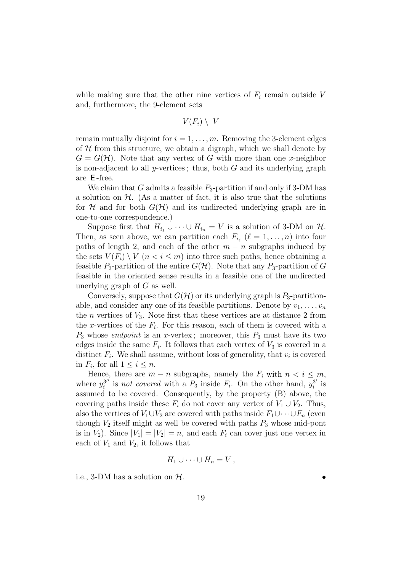while making sure that the other nine vertices of  $F_i$  remain outside V and, furthermore, the 9-element sets

$$
V(F_i) \setminus V
$$

remain mutually disjoint for  $i = 1, \ldots, m$ . Removing the 3-element edges of  $H$  from this structure, we obtain a digraph, which we shall denote by  $G = G(\mathcal{H})$ . Note that any vertex of G with more than one x-neighbor is non-adjacent to all y-vertices; thus, both  $G$  and its underlying graph are E -free.

We claim that G admits a feasible  $P_3$ -partition if and only if 3-DM has a solution on  $H$ . (As a matter of fact, it is also true that the solutions for H and for both  $G(H)$  and its undirected underlying graph are in one-to-one correspondence.)

Suppose first that  $H_{i_1} \cup \cdots \cup H_{i_n} = V$  is a solution of 3-DM on  $\mathcal{H}$ . Then, as seen above, we can partition each  $F_{i_{\ell}}$  ( $\ell = 1,\ldots,n$ ) into four paths of length 2, and each of the other  $m - n$  subgraphs induced by the sets  $V(F_i) \setminus V$   $(n < i < m)$  into three such paths, hence obtaining a feasible  $P_3$ -partition of the entire  $G(\mathcal{H})$ . Note that any  $P_3$ -partition of G feasible in the oriented sense results in a feasible one of the undirected unerlying graph of  $G$  as well.

Conversely, suppose that  $G(\mathcal{H})$  or its underlying graph is  $P_3$ -partitionable, and consider any one of its feasible partitions. Denote by  $v_1, \ldots, v_n$ the *n* vertices of  $V_3$ . Note first that these vertices are at distance 2 from the x-vertices of the  $F_i$ . For this reason, each of them is covered with a  $P_3$  whose *endpoint* is an x-vertex; moreover, this  $P_3$  must have its two edges inside the same  $F_i$ . It follows that each vertex of  $V_3$  is covered in a distinct  $F_i$ . We shall assume, without loss of generality, that  $v_i$  is covered in  $F_i$ , for all  $1 \leq i \leq n$ .

Hence, there are  $m - n$  subgraphs, namely the  $F_i$  with  $n < i \leq m$ , where  $y_i^{3''}$  is not covered with a  $P_3$  inside  $F_i$ . On the other hand,  $y_i^{3'}$  is assumed to be covered. Consequently, by the property (B) above, the covering paths inside these  $F_i$  do not cover any vertex of  $V_1 \cup V_2$ . Thus, also the vertices of  $V_1 \cup V_2$  are covered with paths inside  $F_1 \cup \cdots \cup F_n$  (even though  $V_2$  itself might as well be covered with paths  $P_3$  whose mid-pont is in  $V_2$ ). Since  $|V_1| = |V_2| = n$ , and each  $F_i$  can cover just one vertex in each of  $V_1$  and  $V_2$ , it follows that

$$
H_1 \cup \cdots \cup H_n = V,
$$

i.e., 3-DM has a solution on  $H$ .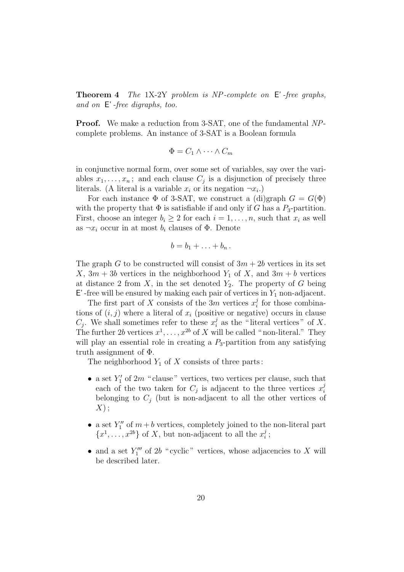**Theorem 4** The 1X-2Y problem is NP -complete on E'-free graphs, and on E'-free digraphs, too.

**Proof.** We make a reduction from 3-SAT, one of the fundamental NPcomplete problems. An instance of 3-SAT is a Boolean formula

$$
\Phi = C_1 \wedge \cdots \wedge C_m
$$

in conjunctive normal form, over some set of variables, say over the variables  $x_1, \ldots, x_n$ ; and each clause  $C_j$  is a disjunction of precisely three literals. (A literal is a variable  $x_i$  or its negation  $\neg x_i$ .)

For each instance  $\Phi$  of 3-SAT, we construct a (di)graph  $G = G(\Phi)$ with the property that  $\Phi$  is satisfiable if and only if G has a  $P_3$ -partition. First, choose an integer  $b_i \geq 2$  for each  $i = 1, \ldots, n$ , such that  $x_i$  as well as  $\neg x_i$  occur in at most  $b_i$  clauses of  $\Phi$ . Denote

$$
b=b_1+\ldots+b_n.
$$

The graph G to be constructed will consist of  $3m + 2b$  vertices in its set X,  $3m + 3b$  vertices in the neighborhood  $Y_1$  of X, and  $3m + b$  vertices at distance 2 from X, in the set denoted  $Y_2$ . The property of G being  $E'$ -free will be ensured by making each pair of vertices in  $Y_1$  non-adjacent.

The first part of X consists of the  $\overline{3m}$  vertices  $x_i^j$  for those combinations of  $(i, j)$  where a literal of  $x_i$  (positive or negative) occurs in clause  $C_j$ . We shall sometimes refer to these  $x_i^j$  as the "literal vertices" of X. The further 2b vertices  $x^1, \ldots, x^{2b}$  of X will be called "non-literal." They will play an essential role in creating a  $P_3$ -partition from any satisfying truth assignment of Φ.

The neighborhood  $Y_1$  of X consists of three parts:

- a set  $Y_1'$  of  $2m$  " clause" vertices, two vertices per clause, such that each of the two taken for  $C_i$  is adjacent to the three vertices  $x_i^j$ belonging to  $C_i$  (but is non-adjacent to all the other vertices of  $X)$ ;
- a set  $Y_1''$  of  $m + b$  vertices, completely joined to the non-literal part  ${x^1, \ldots, x^{2b}}$  of X, but non-adjacent to all the  $x_i^j$ ;
- and a set  $Y_1'''$  of 2b " cyclic" vertices, whose adjacencies to X will be described later.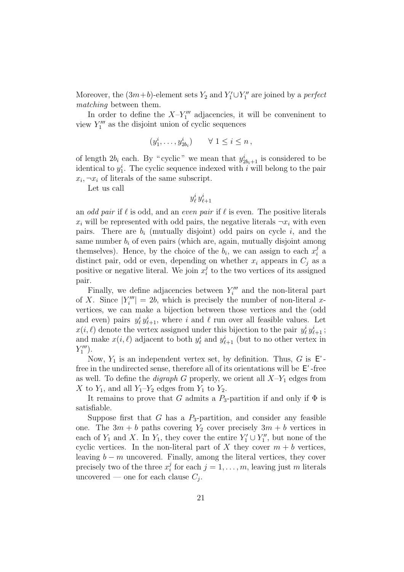Moreover, the  $(3m+b)$ -element sets  $Y_2$  and  $Y_1' \cup Y_1''$  are joined by a *perfect* matching between them.

In order to define the  $X-Y_1^{\prime\prime\prime}$  adjacencies, it will be conveninent to view  $Y_1^{\prime\prime\prime}$  as the disjoint union of cyclic sequences

$$
(y_1^i, \ldots, y_{2b_i}^i) \qquad \forall \ 1 \leq i \leq n \,,
$$

of length  $2b_i$  each. By "cyclic" we mean that  $y_{2b_i+1}^i$  is considered to be identical to  $y_1^i$ . The cyclic sequence indexed with i will belong to the pair  $x_i, \neg x_i$  of literals of the same subscript.

Let us call

$$
y_\ell^i\,y_{\ell+1}^i
$$

an odd pair if  $\ell$  is odd, and an even pair if  $\ell$  is even. The positive literals  $x_i$  will be represented with odd pairs, the negative literals  $\neg x_i$  with even pairs. There are  $b_i$  (mutually disjoint) odd pairs on cycle  $i$ , and the same number  $b_i$  of even pairs (which are, again, mutually disjoint among themselves). Hence, by the choice of the  $b_i$ , we can assign to each  $x_i^j$  a distinct pair, odd or even, depending on whether  $x_i$  appears in  $C_j$  as a positive or negative literal. We join  $x_i^j$  to the two vertices of its assigned pair.

Finally, we define adjacencies between  $Y_i^{\prime\prime\prime}$  and the non-literal part of X. Since  $|Y_i'''| = 2b$ , which is precisely the number of non-literal xvertices, we can make a bijection between those vertices and the (odd and even) pairs  $y_{\ell}^{i} y_{\ell+1}^{i}$ , where i and  $\ell$  run over all feasible values. Let  $x(i, \ell)$  denote the vertex assigned under this bijection to the pair  $y_{\ell}^{i} y_{\ell+1}^{i}$ ; and make  $x(i, \ell)$  adjacent to both  $y_{\ell}^i$  and  $y_{\ell+1}^i$  (but to no other vertex in  $Y''_1$ ).

Now,  $Y_1$  is an independent vertex set, by definition. Thus, G is  $E'$ free in the undirected sense, therefore all of its orientations will be E'-free as well. To define the *digraph* G properly, we orient all  $X-Y_1$  edges from X to  $Y_1$ , and all  $Y_1-Y_2$  edges from  $Y_1$  to  $Y_2$ .

It remains to prove that G admits a  $P_3$ -partition if and only if  $\Phi$  is satisfiable.

Suppose first that G has a  $P_3$ -partition, and consider any feasible one. The  $3m + b$  paths covering  $Y_2$  cover precisely  $3m + b$  vertices in each of  $Y_1$  and X. In  $Y_1$ , they cover the entire  $Y_1' \cup Y_1''$ , but none of the cyclic vertices. In the non-literal part of X they cover  $m + b$  vertices, leaving  $b - m$  uncovered. Finally, among the literal vertices, they cover precisely two of the three  $x_i^j$  for each  $j = 1, \ldots, m$ , leaving just m literals uncovered — one for each clause  $C_i$ .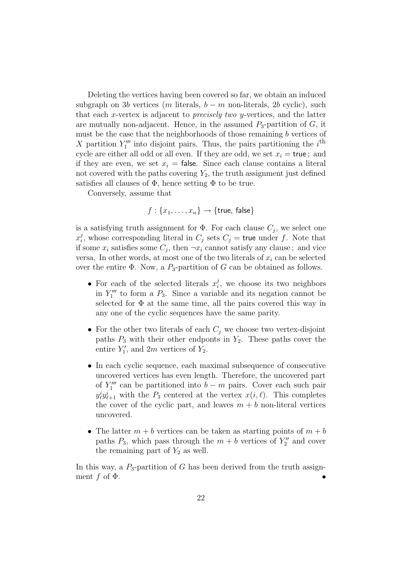Deleting the vertices having been covered so far, we obtain an induced subgraph on 3b vertices (m literals,  $b - m$  non-literals, 2b cyclic), such that each  $x$ -vertex is adjacent to *precisely two y*-vertices, and the latter are mutually non-adjacent. Hence, in the assumed  $P_3$ -partition of  $G$ , it must be the case that the neighborhoods of those remaining  $b$  vertices of X partition  $Y_1'''$  into disjoint pairs. Thus, the pairs partitioning the i<sup>th</sup> cycle are either all odd or all even. If they are odd, we set  $x_i = \text{true}$ ; and if they are even, we set  $x_i =$  false. Since each clause contains a literal not covered with the paths covering  $Y_2$ , the truth assignment just defined satisfies all clauses of  $\Phi$ , hence setting  $\Phi$  to be true.

Conversely, assume that

 $f: \{x_1, \ldots, x_n\} \rightarrow \{\text{true}, \text{false}\}\$ 

is a satisfying truth assignment for  $\Phi$ . For each clause  $C_i$ , we select one  $x_i^j$ , whose corresponding literal in  $C_j$  sets  $C_j$  = true under f. Note that if some  $x_i$  satisfies some  $C_i$ , then  $\neg x_i$  cannot satisfy any clause; and vice versa. In other words, at most one of the two literals of  $x_i$  can be selected over the entire  $\Phi$ . Now, a  $P_3$ -partition of G can be obtained as follows.

- For each of the selected literals  $x_i^j$ , we choose its two neighbors in  $Y_1'''$  to form a  $P_3$ . Since a variable and its negation cannot be selected for  $\Phi$  at the same time, all the pairs covered this way in any one of the cyclic sequences have the same parity.
- For the other two literals of each  $C_i$  we choose two vertex-disjoint paths  $P_3$  with their other endponts in  $Y_2$ . These paths cover the entire  $Y'_1$ , and  $2m$  vertices of  $Y_2$ .
- In each cyclic sequence, each maximal subsequence of consecutive uncovered vertices has even length. Therefore, the uncovered part of  $Y_1'''$  can be partitioned into  $b - m$  pairs. Cover each such pair  $y_{\ell}^{i} y_{\ell+1}^{i}$  with the  $P_3$  centered at the vertex  $x(i, \ell)$ . This completes the cover of the cyclic part, and leaves  $m + b$  non-literal vertices uncovered.
- The latter  $m + b$  vertices can be taken as starting points of  $m + b$ paths  $P_3$ , which pass through the  $m + b$  vertices of  $Y_2''$  and cover the remaining part of  $Y_2$  as well.

In this way, a  $P_3$ -partition of G has been derived from the truth assignment f of  $\Phi$ .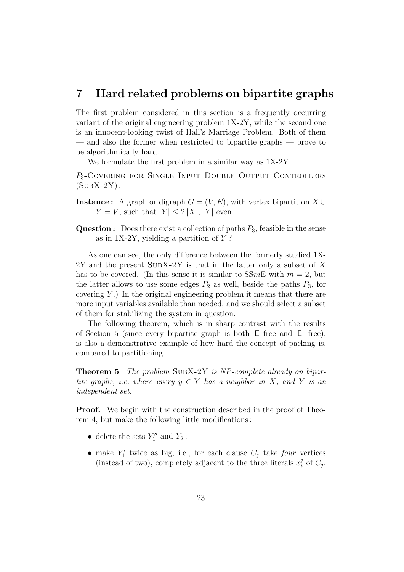#### **7 Hard related problems on bipartite graphs**

The first problem considered in this section is a frequently occurring variant of the original engineering problem 1X-2Y, while the second one is an innocent-looking twist of Hall's Marriage Problem. Both of them — and also the former when restricted to bipartite graphs — prove to be algorithmically hard.

We formulate the first problem in a similar way as 1X-2Y.

P<sub>3</sub>-COVERING FOR SINGLE INPUT DOUBLE OUTPUT CONTROLLERS  $(SUBX-2Y)$ :

- **Instance:** A graph or digraph  $G = (V, E)$ , with vertex bipartition X ∪  $Y = V$ , such that  $|Y| \leq 2 |X|$ ,  $|Y|$  even.
- **Question :** Does there exist a collection of paths  $P_3$ , feasible in the sense as in  $1X-2Y$ , yielding a partition of Y?

As one can see, the only difference between the formerly studied 1X- $2Y$  and the present SUBX-2Y is that in the latter only a subset of X has to be covered. (In this sense it is similar to  $SSmE$  with  $m = 2$ , but the latter allows to use some edges  $P_2$  as well, beside the paths  $P_3$ , for covering  $Y$ .) In the original engineering problem it means that there are more input variables available than needed, and we should select a subset of them for stabilizing the system in question.

The following theorem, which is in sharp contrast with the results of Section 5 (since every bipartite graph is both  $E$ -free and  $E'$ -free), is also a demonstrative example of how hard the concept of packing is, compared to partitioning.

**Theorem 5** The problem SUBX-2Y is NP-complete already on bipartite graphs, i.e. where every  $y \in Y$  has a neighbor in X, and Y is an independent set.

**Proof.** We begin with the construction described in the proof of Theorem 4, but make the following little modifications :

- delete the sets  $Y_1''$  and  $Y_2$ ;
- make  $Y'_1$  twice as big, i.e., for each clause  $C_j$  take four vertices (instead of two), completely adjacent to the three literals  $x_i^j$  of  $C_j$ .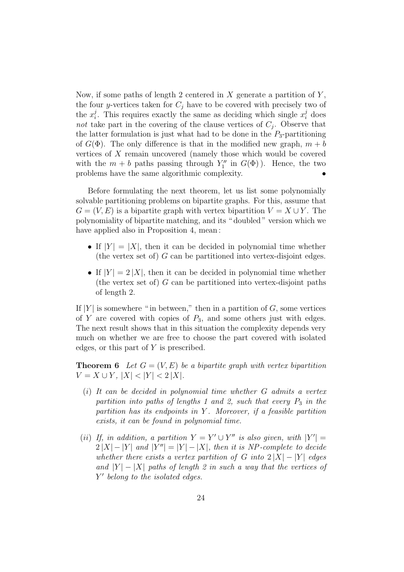Now, if some paths of length 2 centered in  $X$  generate a partition of  $Y$ , the four y-vertices taken for  $C_i$  have to be covered with precisely two of the  $x_i^j$ . This requires exactly the same as deciding which single  $x_i^j$  does not take part in the covering of the clause vertices of  $C_i$ . Observe that the latter formulation is just what had to be done in the  $P_3$ -partitioning of  $G(\Phi)$ . The only difference is that in the modified new graph,  $m + b$ vertices of X remain uncovered (namely those which would be covered with the  $m + b$  paths passing through  $Y_1''$  in  $G(\Phi)$ ). Hence, the two problems have the same algorithmic complexity. •

Before formulating the next theorem, let us list some polynomially solvable partitioning problems on bipartite graphs. For this, assume that  $G = (V, E)$  is a bipartite graph with vertex bipartition  $V = X \cup Y$ . The polynomiality of bipartite matching, and its " doubled " version which we have applied also in Proposition 4, mean:

- If  $|Y| = |X|$ , then it can be decided in polynomial time whether (the vertex set of)  $G$  can be partitioned into vertex-disjoint edges.
- If  $|Y| = 2 |X|$ , then it can be decided in polynomial time whether (the vertex set of)  $G$  can be partitioned into vertex-disjoint paths of length 2.

If  $|Y|$  is somewhere " in between," then in a partition of G, some vertices of Y are covered with copies of  $P_3$ , and some others just with edges. The next result shows that in this situation the complexity depends very much on whether we are free to choose the part covered with isolated edges, or this part of Y is prescribed.

**Theorem 6** Let  $G = (V, E)$  be a bipartite graph with vertex bipartition  $V = X \cup Y$ ,  $|X| < |Y| < 2 |X|$ .

- $(i)$  It can be decided in polynomial time whether G admits a vertex partition into paths of lengths 1 and 2, such that every  $P_3$  in the partition has its endpoints in Y. Moreover, if a feasible partition exists, it can be found in polynomial time.
- (ii) If, in addition, a partition  $Y = Y' \cup Y''$  is also given, with  $|Y'| =$  $2 |X| - |Y|$  and  $|Y''| = |Y| - |X|$ , then it is NP-complete to decide whether there exists a vertex partition of G into  $2 |X| - |Y|$  edges and  $|Y| - |X|$  paths of length 2 in such a way that the vertices of  $Y'$  belong to the isolated edges.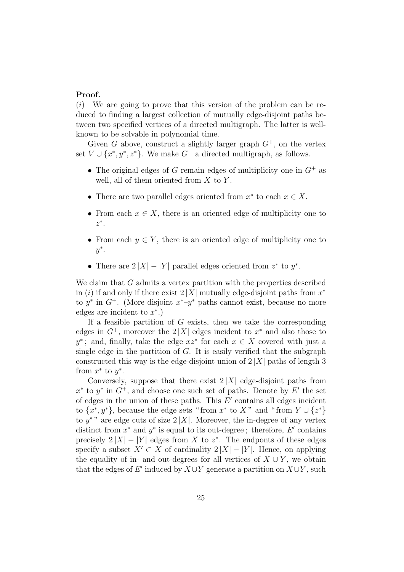#### **Proof.**

 $(i)$  We are going to prove that this version of the problem can be reduced to finding a largest collection of mutually edge-disjoint paths between two specified vertices of a directed multigraph. The latter is wellknown to be solvable in polynomial time.

Given G above, construct a slightly larger graph  $G^+$ , on the vertex set  $V \cup \{x^*, y^*, z^*\}$ . We make  $G^+$  a directed multigraph, as follows.

- The original edges of  $G$  remain edges of multiplicity one in  $G^+$  as well, all of them oriented from  $X$  to  $Y$ .
- There are two parallel edges oriented from  $x^*$  to each  $x \in X$ .
- From each  $x \in X$ , there is an oriented edge of multiplicity one to  $z^*$ .
- From each  $y \in Y$ , there is an oriented edge of multiplicity one to  $y^*$ .
- There are  $2 |X| |Y|$  parallel edges oriented from  $z^*$  to  $y^*$ .

We claim that G admits a vertex partition with the properties described in (i) if and only if there exist  $2|X|$  mutually edge-disjoint paths from  $x^*$ to  $y^*$  in  $G^+$ . (More disjoint  $x^*-y^*$  paths cannot exist, because no more edges are incident to  $x^*$ .)

If a feasible partition of  $G$  exists, then we take the corresponding edges in  $G^+$ , moreover the 2 |X| edges incident to  $x^*$  and also those to  $y^*$ ; and, finally, take the edge  $xz^*$  for each  $x \in X$  covered with just a single edge in the partition of  $G$ . It is easily verified that the subgraph constructed this way is the edge-disjoint union of  $2|X|$  paths of length 3 from  $x^*$  to  $y^*$ .

Conversely, suppose that there exist  $2|X|$  edge-disjoint paths from  $x^*$  to  $y^*$  in  $G^+$ , and choose one such set of paths. Denote by E' the set of edges in the union of these paths. This  $E'$  contains all edges incident to  $\{x^*, y^*\}$ , because the edge sets "from  $x^*$  to  $X$ " and "from  $Y \cup \{z^*\}$ to y<sup>\*</sup>" are edge cuts of size  $2|X|$ . Moreover, the in-degree of any vertex distinct from  $x^*$  and  $y^*$  is equal to its out-degree; therefore, E' contains precisely  $2 |X| - |Y|$  edges from X to  $z^*$ . The endponts of these edges specify a subset  $X' \subset X$  of cardinality  $2 |X| - |Y|$ . Hence, on applying the equality of in- and out-degrees for all vertices of  $X \cup Y$ , we obtain that the edges of E' induced by  $X \cup Y$  generate a partition on  $X \cup Y$ , such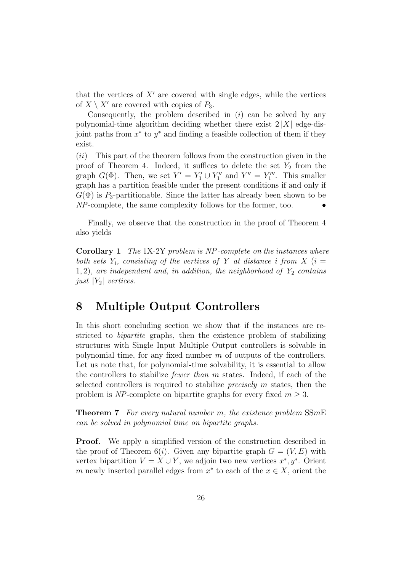that the vertices of  $X<sup>'</sup>$  are covered with single edges, while the vertices of  $X \setminus X'$  are covered with copies of  $P_3$ .

Consequently, the problem described in  $(i)$  can be solved by any polynomial-time algorithm deciding whether there exist  $2|X|$  edge-disjoint paths from  $x^*$  to  $y^*$  and finding a feasible collection of them if they exist.

(ii) This part of the theorem follows from the construction given in the proof of Theorem 4. Indeed, it suffices to delete the set  $Y_2$  from the graph  $G(\Phi)$ . Then, we set  $Y' = Y_1' \cup Y_1''$  and  $Y'' = Y_1'''$ . This smaller graph has a partition feasible under the present conditions if and only if  $G(\Phi)$  is P<sub>3</sub>-partitionable. Since the latter has already been shown to be  $NP$ -complete, the same complexity follows for the former, too.

Finally, we observe that the construction in the proof of Theorem 4 also yields

**Corollary 1** The 1X-2Y problem is NP -complete on the instances where both sets  $Y_i$ , consisting of the vertices of Y at distance i from X (i = 1, 2), are independent and, in addition, the neighborhood of  $Y_2$  contains just  $|Y_2|$  vertices.

## **8 Multiple Output Controllers**

In this short concluding section we show that if the instances are restricted to bipartite graphs, then the existence problem of stabilizing structures with Single Input Multiple Output controllers is solvable in polynomial time, for any fixed number  $m$  of outputs of the controllers. Let us note that, for polynomial-time solvability, it is essential to allow the controllers to stabilize fewer than m states. Indeed, if each of the selected controllers is required to stabilize precisely m states, then the problem is NP-complete on bipartite graphs for every fixed  $m \geq 3$ .

**Theorem 7** For every natural number m, the existence problem SSmE can be solved in polynomial time on bipartite graphs.

**Proof.** We apply a simplified version of the construction described in the proof of Theorem 6(*i*). Given any bipartite graph  $G = (V, E)$  with vertex bipartition  $V = X \cup Y$ , we adjoin two new vertices  $x^*, y^*$ . Orient m newly inserted parallel edges from  $x^*$  to each of the  $x \in X$ , orient the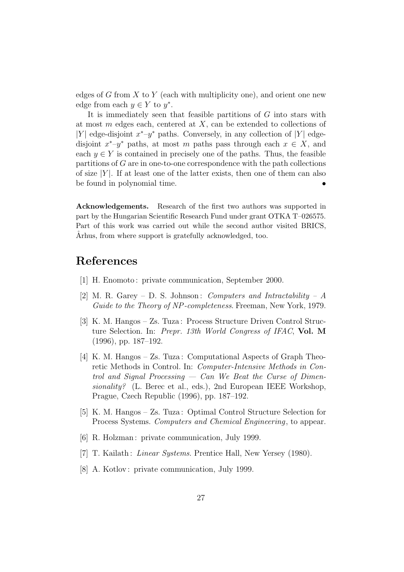edges of  $G$  from  $X$  to  $Y$  (each with multiplicity one), and orient one new edge from each  $y \in Y$  to  $y^*$ .

It is immediately seen that feasible partitions of  $G$  into stars with at most  $m$  edges each, centered at  $X$ , can be extended to collections of |Y| edge-disjoint  $x^*$ – $y^*$  paths. Conversely, in any collection of |Y| edgedisjoint  $x^*$ – $y^*$  paths, at most m paths pass through each  $x \in X$ , and each  $y \in Y$  is contained in precisely one of the paths. Thus, the feasible partitions of  $G$  are in one-to-one correspondence with the path collections of size  $|Y|$ . If at least one of the latter exists, then one of them can also be found in polynomial time.

**Acknowledgements.** Research of the first two authors was supported in part by the Hungarian Scientific Research Fund under grant OTKA T–026575. Part of this work was carried out while the second author visited BRICS, Arhus, from where support is gratefully acknowledged, too.

## **References**

- [1] H. Enomoto : private communication, September 2000.
- [2] M. R. Garey D. S. Johnson: Computers and Intractability A Guide to the Theory of NP-completeness. Freeman, New York, 1979.
- [3] K. M. Hangos Zs. Tuza : Process Structure Driven Control Structure Selection. In: Prepr. 13th World Congress of IFAC, **Vol. M** (1996), pp. 187–192.
- [4] K. M. Hangos Zs. Tuza : Computational Aspects of Graph Theoretic Methods in Control. In: Computer-Intensive Methods in Control and Signal Processing  $-$  Can We Beat the Curse of Dimensionality? (L. Berec et al., eds.), 2nd European IEEE Workshop, Prague, Czech Republic (1996), pp. 187–192.
- [5] K. M. Hangos Zs. Tuza : Optimal Control Structure Selection for Process Systems. Computers and Chemical Engineering, to appear.
- [6] R. Holzman : private communication, July 1999.
- [7] T. Kailath: *Linear Systems*. Prentice Hall, New Yersey (1980).
- [8] A. Kotlov: private communication, July 1999.